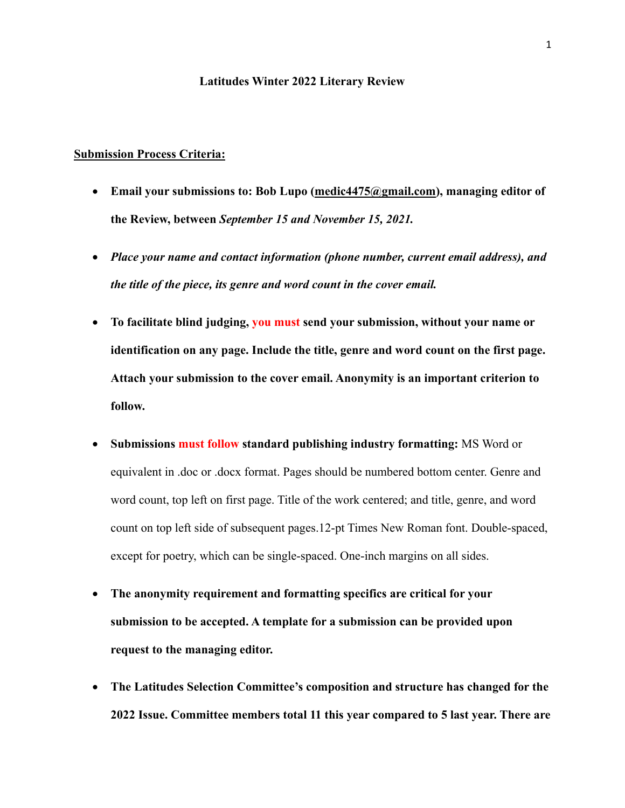## **Latitudes Winter 2022 Literary Review**

## **Submission Process Criteria:**

- **Email your submissions to: Bob Lupo (medic4475@gmail.com), managing editor of the Review, between** *September 15 and November 15, 2021.*
- *Place your name and contact information (phone number, current email address), and the title of the piece, its genre and word count in the cover email.*
- **To facilitate blind judging, you must send your submission, without your name or identification on any page. Include the title, genre and word count on the first page. Attach your submission to the cover email. Anonymity is an important criterion to follow.**
- **Submissions must follow standard publishing industry formatting:** MS Word or equivalent in .doc or .docx format. Pages should be numbered bottom center. Genre and word count, top left on first page. Title of the work centered; and title, genre, and word count on top left side of subsequent pages.12-pt Times New Roman font. Double-spaced, except for poetry, which can be single-spaced. One-inch margins on all sides.
- **The anonymity requirement and formatting specifics are critical for your submission to be accepted. A template for a submission can be provided upon request to the managing editor.**
- **The Latitudes Selection Committee's composition and structure has changed for the 2022 Issue. Committee members total 11 this year compared to 5 last year. There are**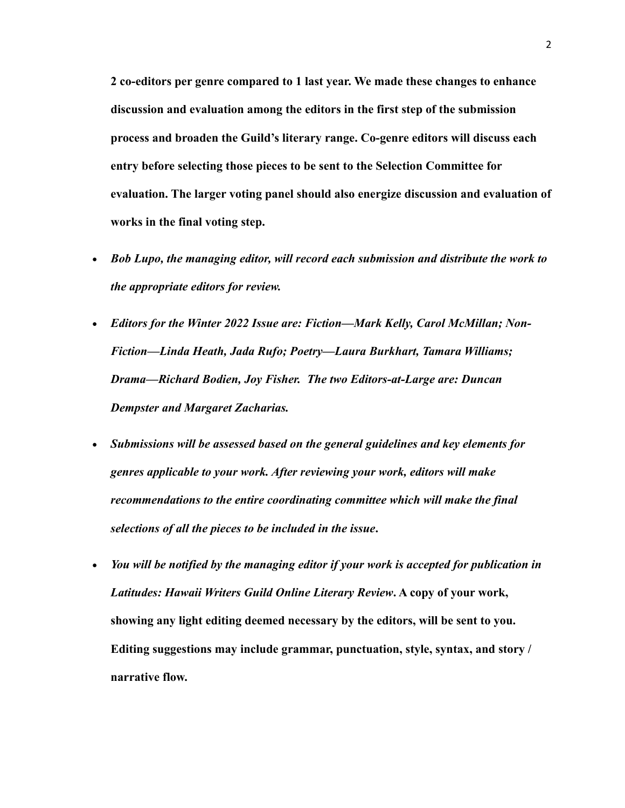**2 co-editors per genre compared to 1 last year. We made these changes to enhance discussion and evaluation among the editors in the first step of the submission process and broaden the Guild's literary range. Co-genre editors will discuss each entry before selecting those pieces to be sent to the Selection Committee for evaluation. The larger voting panel should also energize discussion and evaluation of works in the final voting step.** 

- *Bob Lupo, the managing editor, will record each submission and distribute the work to the appropriate editors for review.*
- *Editors for the Winter 2022 Issue are: Fiction—Mark Kelly, Carol McMillan; Non-Fiction—Linda Heath, Jada Rufo; Poetry—Laura Burkhart, Tamara Williams; Drama—Richard Bodien, Joy Fisher. The two Editors-at-Large are: Duncan Dempster and Margaret Zacharias.*
- *Submissions will be assessed based on the general guidelines and key elements for genres applicable to your work. After reviewing your work, editors will make recommendations to the entire coordinating committee which will make the final selections of all the pieces to be included in the issue***.**
- *You will be notified by the managing editor if your work is accepted for publication in Latitudes: Hawaii Writers Guild Online Literary Review***. A copy of your work, showing any light editing deemed necessary by the editors, will be sent to you. Editing suggestions may include grammar, punctuation, style, syntax, and story / narrative flow.**